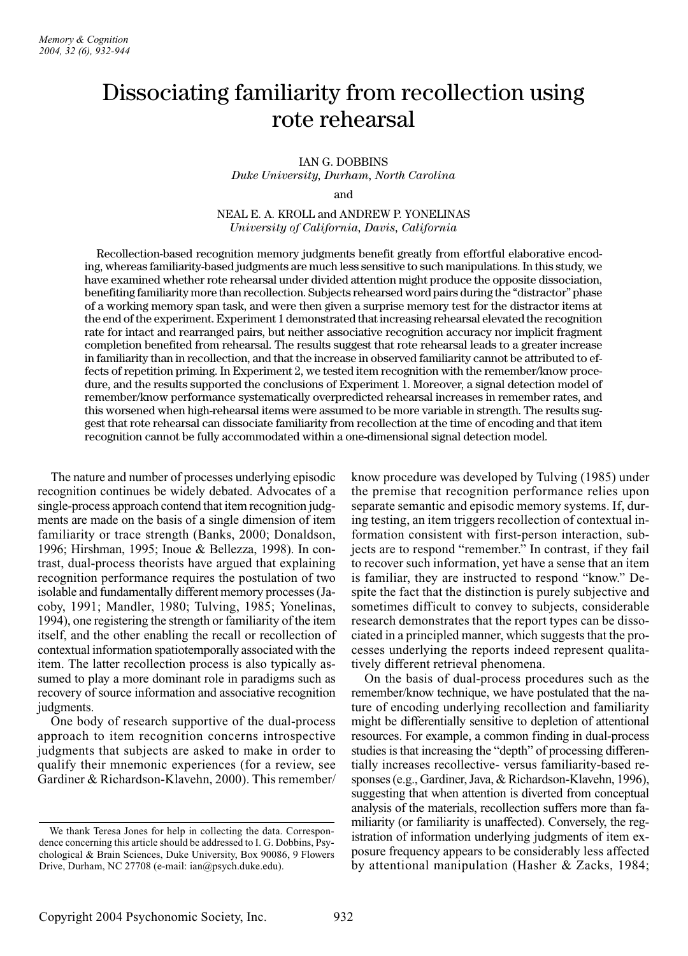# Dissociating familiarity from recollection using rote rehearsal

IAN G. DOBBINS *Duke University, Durham, North Carolina*

NEAL E. A. KROLL and ANDREW P. YONELINAS *University of California, Davis, California*

Recollection-based recognition memory judgments benefit greatly from effortful elaborative encoding, whereas familiarity-based judgments are much less sensitive to such manipulations. In this study, we have examined whether rote rehearsal under divided attention might produce the opposite dissociation, benefiting familiarity more than recollection. Subjects rehearsed word pairs during the "distractor" phase of a working memory span task, and were then given a surprise memory test for the distractor items at the end of the experiment. Experiment 1 demonstrated that increasing rehearsal elevated the recognition rate for intact and rearranged pairs, but neither associative recognition accuracy nor implicit fragment completion benefited from rehearsal. The results suggest that rote rehearsal leads to a greater increase in familiarity than in recollection, and that the increase in observed familiarity cannot be attributed to effects of repetition priming. In Experiment 2, we tested item recognition with the remember/know procedure, and the results supported the conclusions of Experiment 1. Moreover, a signal detection model of remember/know performance systematically overpredicted rehearsal increases in remember rates, and this worsened when high-rehearsal items were assumed to be more variable in strength. The results suggest that rote rehearsal can dissociate familiarity from recollection at the time of encoding and that item recognition cannot be fully accommodated within a one-dimensional signal detection model.

The nature and number of processes underlying episodic recognition continues be widely debated. Advocates of a single-process approach contend that item recognition judgments are made on the basis of a single dimension of item familiarity or trace strength (Banks, 2000; Donaldson, 1996; Hirshman, 1995; Inoue & Bellezza, 1998). In contrast, dual-process theorists have argued that explaining recognition performance requires the postulation of two isolable and fundamentally different memory processes (Jacoby, 1991; Mandler, 1980; Tulving, 1985; Yonelinas, 1994), one registering the strength or familiarity of the item itself, and the other enabling the recall or recollection of contextual information spatiotemporally associated with the item. The latter recollection process is also typically assumed to play a more dominant role in paradigms such as recovery of source information and associative recognition judgments.

One body of research supportive of the dual-process approach to item recognition concerns introspective judgments that subjects are asked to make in order to qualify their mnemonic experiences (for a review, see Gardiner & Richardson-Klavehn, 2000). This remember/ know procedure was developed by Tulving (1985) under the premise that recognition performance relies upon separate semantic and episodic memory systems. If, during testing, an item triggers recollection of contextual information consistent with first-person interaction, subjects are to respond "remember." In contrast, if they fail to recover such information, yet have a sense that an item is familiar, they are instructed to respond "know." Despite the fact that the distinction is purely subjective and sometimes difficult to convey to subjects, considerable research demonstrates that the report types can be dissociated in a principled manner, which suggests that the processes underlying the reports indeed represent qualitatively different retrieval phenomena.

On the basis of dual-process procedures such as the remember/know technique, we have postulated that the nature of encoding underlying recollection and familiarity might be differentially sensitive to depletion of attentional resources. For example, a common finding in dual-process studies is that increasing the "depth" of processing differentially increases recollective- versus familiarity-based responses (e.g., Gardiner, Java, & Richardson-Klavehn, 1996), suggesting that when attention is diverted from conceptual analysis of the materials, recollection suffers more than familiarity (or familiarity is unaffected). Conversely, the registration of information underlying judgments of item exposure frequency appears to be considerably less affected by attentional manipulation (Hasher & Zacks, 1984;

and

We thank Teresa Jones for help in collecting the data. Correspondence concerning this article should be addressed to I. G. Dobbins, Psychological & Brain Sciences, Duke University, Box 90086, 9 Flowers Drive, Durham, NC 27708 (e-mail: ian@psych.duke.edu).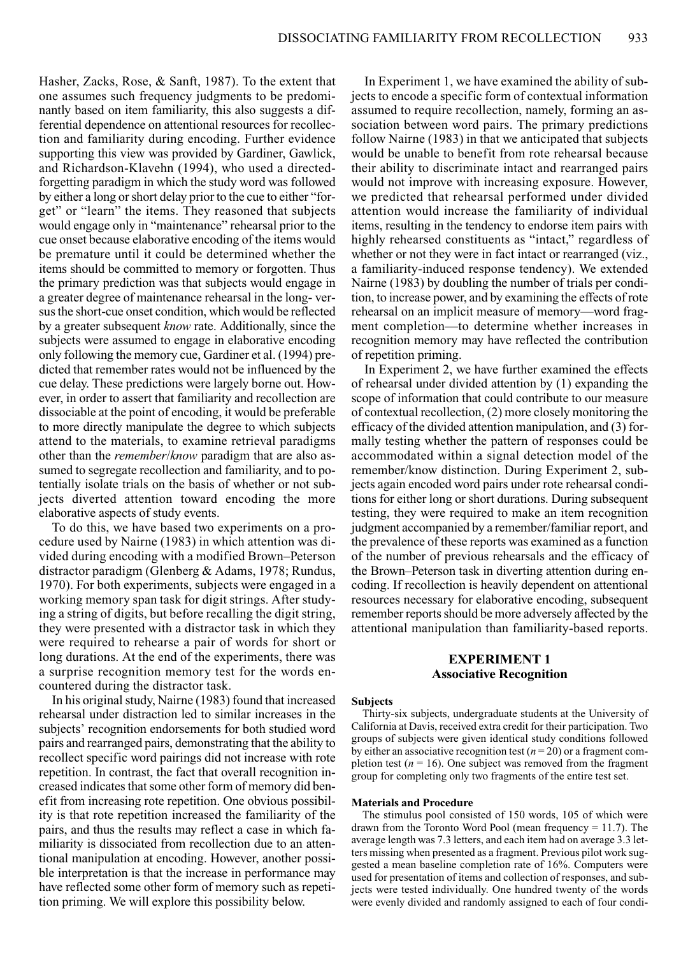Hasher, Zacks, Rose, & Sanft, 1987). To the extent that one assumes such frequency judgments to be predominantly based on item familiarity, this also suggests a differential dependence on attentional resources for recollection and familiarity during encoding. Further evidence supporting this view was provided by Gardiner, Gawlick, and Richardson-Klavehn (1994), who used a directedforgetting paradigm in which the study word was followed by either a long or short delay prior to the cue to either "forget" or "learn" the items. They reasoned that subjects would engage only in "maintenance" rehearsal prior to the cue onset because elaborative encoding of the items would be premature until it could be determined whether the items should be committed to memory or forgotten. Thus the primary prediction was that subjects would engage in a greater degree of maintenance rehearsal in the long- versus the short-cue onset condition, which would be reflected by a greater subsequent *know* rate. Additionally, since the subjects were assumed to engage in elaborative encoding only following the memory cue, Gardiner et al. (1994) predicted that remember rates would not be influenced by the cue delay. These predictions were largely borne out. However, in order to assert that familiarity and recollection are dissociable at the point of encoding, it would be preferable to more directly manipulate the degree to which subjects attend to the materials, to examine retrieval paradigms other than the *remember*/*know* paradigm that are also assumed to segregate recollection and familiarity, and to potentially isolate trials on the basis of whether or not subjects diverted attention toward encoding the more elaborative aspects of study events.

To do this, we have based two experiments on a procedure used by Nairne (1983) in which attention was divided during encoding with a modified Brown–Peterson distractor paradigm (Glenberg & Adams, 1978; Rundus, 1970). For both experiments, subjects were engaged in a working memory span task for digit strings. After studying a string of digits, but before recalling the digit string, they were presented with a distractor task in which they were required to rehearse a pair of words for short or long durations. At the end of the experiments, there was a surprise recognition memory test for the words encountered during the distractor task.

In his original study, Nairne (1983) found that increased rehearsal under distraction led to similar increases in the subjects' recognition endorsements for both studied word pairs and rearranged pairs, demonstrating that the ability to recollect specific word pairings did not increase with rote repetition. In contrast, the fact that overall recognition increased indicates that some other form of memory did benefit from increasing rote repetition. One obvious possibility is that rote repetition increased the familiarity of the pairs, and thus the results may reflect a case in which familiarity is dissociated from recollection due to an attentional manipulation at encoding. However, another possible interpretation is that the increase in performance may have reflected some other form of memory such as repetition priming. We will explore this possibility below.

In Experiment 1, we have examined the ability of subjects to encode a specific form of contextual information assumed to require recollection, namely, forming an association between word pairs. The primary predictions follow Nairne (1983) in that we anticipated that subjects would be unable to benefit from rote rehearsal because their ability to discriminate intact and rearranged pairs would not improve with increasing exposure. However, we predicted that rehearsal performed under divided attention would increase the familiarity of individual items, resulting in the tendency to endorse item pairs with highly rehearsed constituents as "intact," regardless of whether or not they were in fact intact or rearranged (viz., a familiarity-induced response tendency). We extended Nairne (1983) by doubling the number of trials per condition, to increase power, and by examining the effects of rote rehearsal on an implicit measure of memory—word fragment completion—to determine whether increases in recognition memory may have reflected the contribution of repetition priming.

In Experiment 2, we have further examined the effects of rehearsal under divided attention by (1) expanding the scope of information that could contribute to our measure of contextual recollection, (2) more closely monitoring the efficacy of the divided attention manipulation, and (3) formally testing whether the pattern of responses could be accommodated within a signal detection model of the remember/know distinction. During Experiment 2, subjects again encoded word pairs under rote rehearsal conditions for either long or short durations. During subsequent testing, they were required to make an item recognition judgment accompanied by a remember/familiar report, and the prevalence of these reports was examined as a function of the number of previous rehearsals and the efficacy of the Brown–Peterson task in diverting attention during encoding. If recollection is heavily dependent on attentional resources necessary for elaborative encoding, subsequent remember reports should be more adversely affected by the attentional manipulation than familiarity-based reports.

# **EXPERIMENT 1 Associative Recognition**

## **Subjects**

Thirty-six subjects, undergraduate students at the University of California at Davis, received extra credit for their participation. Two groups of subjects were given identical study conditions followed by either an associative recognition test  $(n=20)$  or a fragment completion test  $(n = 16)$ . One subject was removed from the fragment group for completing only two fragments of the entire test set.

#### **Materials and Procedure**

The stimulus pool consisted of 150 words, 105 of which were drawn from the Toronto Word Pool (mean frequency = 11.7). The average length was 7.3 letters, and each item had on average 3.3 letters missing when presented as a fragment. Previous pilot work suggested a mean baseline completion rate of 16%. Computers were used for presentation of items and collection of responses, and subjects were tested individually. One hundred twenty of the words were evenly divided and randomly assigned to each of four condi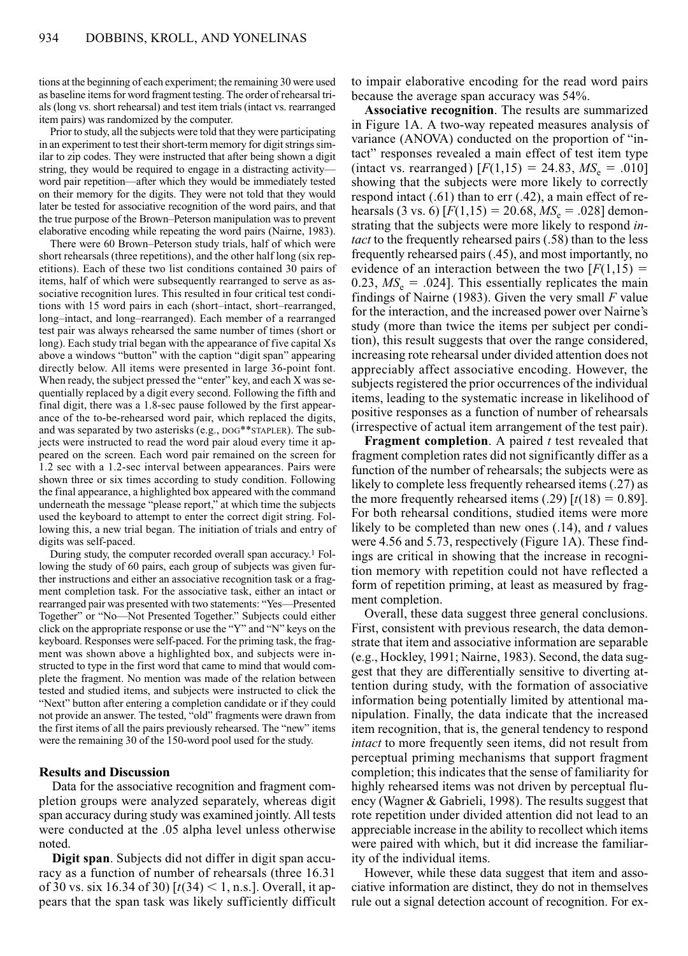tions at the beginning of each experiment; the remaining 30 were used as baseline items for word fragment testing. The order of rehearsal trials (long vs. short rehearsal) and test item trials (intact vs. rearranged item pairs) was randomized by the computer.

Prior to study, all the subjects were told that they were participating in an experiment to test their short-term memory for digit strings similar to zip codes. They were instructed that after being shown a digit string, they would be required to engage in a distracting activity word pair repetition—after which they would be immediately tested on their memory for the digits. They were not told that they would later be tested for associative recognition of the word pairs, and that the true purpose of the Brown–Peterson manipulation was to prevent elaborative encoding while repeating the word pairs (Nairne, 1983).

There were 60 Brown–Peterson study trials, half of which were short rehearsals (three repetitions), and the other half long (six repetitions). Each of these two list conditions contained 30 pairs of items, half of which were subsequently rearranged to serve as associative recognition lures. This resulted in four critical test conditions with 15 word pairs in each (short–intact, short–rearranged, long–intact, and long–rearranged). Each member of a rearranged test pair was always rehearsed the same number of times (short or long). Each study trial began with the appearance of five capital Xs above a windows "button" with the caption "digit span" appearing directly below. All items were presented in large 36-point font. When ready, the subject pressed the "enter" key, and each X was sequentially replaced by a digit every second. Following the fifth and final digit, there was a 1.8-sec pause followed by the first appearance of the to-be-rehearsed word pair, which replaced the digits, and was separated by two asterisks (e.g., DOG\*\*STAPLER). The subjects were instructed to read the word pair aloud every time it appeared on the screen. Each word pair remained on the screen for 1.2 sec with a 1.2-sec interval between appearances. Pairs were shown three or six times according to study condition. Following the final appearance, a highlighted box appeared with the command underneath the message "please report," at which time the subjects used the keyboard to attempt to enter the correct digit string. Following this, a new trial began. The initiation of trials and entry of digits was self-paced.

During study, the computer recorded overall span accuracy.<sup>1</sup> Following the study of 60 pairs, each group of subjects was given further instructions and either an associative recognition task or a fragment completion task. For the associative task, either an intact or rearranged pair was presented with two statements: "Yes—Presented Together" or "No—Not Presented Together." Subjects could either click on the appropriate response or use the "Y" and "N" keys on the keyboard. Responses were self-paced. For the priming task, the fragment was shown above a highlighted box, and subjects were instructed to type in the first word that came to mind that would complete the fragment. No mention was made of the relation between tested and studied items, and subjects were instructed to click the "Next" button after entering a completion candidate or if they could not provide an answer. The tested, "old" fragments were drawn from the first items of all the pairs previously rehearsed. The "new" items were the remaining 30 of the 150-word pool used for the study.

# **Results and Discussion**

Data for the associative recognition and fragment completion groups were analyzed separately, whereas digit span accuracy during study was examined jointly. All tests were conducted at the .05 alpha level unless otherwise noted.

**Digit span**. Subjects did not differ in digit span accuracy as a function of number of rehearsals (three 16.31 of 30 vs. six 16.34 of 30)  $[t(34) < 1, n.s.]$ . Overall, it appears that the span task was likely sufficiently difficult to impair elaborative encoding for the read word pairs because the average span accuracy was 54%.

**Associative recognition**. The results are summarized in Figure 1A. A two-way repeated measures analysis of variance (ANOVA) conducted on the proportion of "intact" responses revealed a main effect of test item type (intact vs. rearranged)  $[F(1,15) = 24.83, MS_{\circ} = .010]$ showing that the subjects were more likely to correctly respond intact (.61) than to err (.42), a main effect of rehearsals (3 vs. 6)  $[F(1,15) = 20.68, MS_e = .028]$  demonstrating that the subjects were more likely to respond *intact* to the frequently rehearsed pairs (.58) than to the less frequently rehearsed pairs (.45), and most importantly, no evidence of an interaction between the two  $[F(1,15)]$ 0.23,  $MS_e = .024$ . This essentially replicates the main findings of Nairne (1983). Given the very small *F* value for the interaction, and the increased power over Nairne's study (more than twice the items per subject per condition), this result suggests that over the range considered, increasing rote rehearsal under divided attention does not appreciably affect associative encoding. However, the subjects registered the prior occurrences of the individual items, leading to the systematic increase in likelihood of positive responses as a function of number of rehearsals (irrespective of actual item arrangement of the test pair).

**Fragment completion**. A paired *t* test revealed that fragment completion rates did not significantly differ as a function of the number of rehearsals; the subjects were as likely to complete less frequently rehearsed items (.27) as the more frequently rehearsed items  $(.29)$  [ $t(18) = 0.89$ ]. For both rehearsal conditions, studied items were more likely to be completed than new ones (.14), and *t* values were 4.56 and 5.73, respectively (Figure 1A). These findings are critical in showing that the increase in recognition memory with repetition could not have reflected a form of repetition priming, at least as measured by fragment completion.

Overall, these data suggest three general conclusions. First, consistent with previous research, the data demonstrate that item and associative information are separable (e.g., Hockley, 1991; Nairne, 1983). Second, the data suggest that they are differentially sensitive to diverting attention during study, with the formation of associative information being potentially limited by attentional manipulation. Finally, the data indicate that the increased item recognition, that is, the general tendency to respond *intact* to more frequently seen items, did not result from perceptual priming mechanisms that support fragment completion; this indicates that the sense of familiarity for highly rehearsed items was not driven by perceptual fluency (Wagner & Gabrieli, 1998). The results suggest that rote repetition under divided attention did not lead to an appreciable increase in the ability to recollect which items were paired with which, but it did increase the familiarity of the individual items.

However, while these data suggest that item and associative information are distinct, they do not in themselves rule out a signal detection account of recognition. For ex-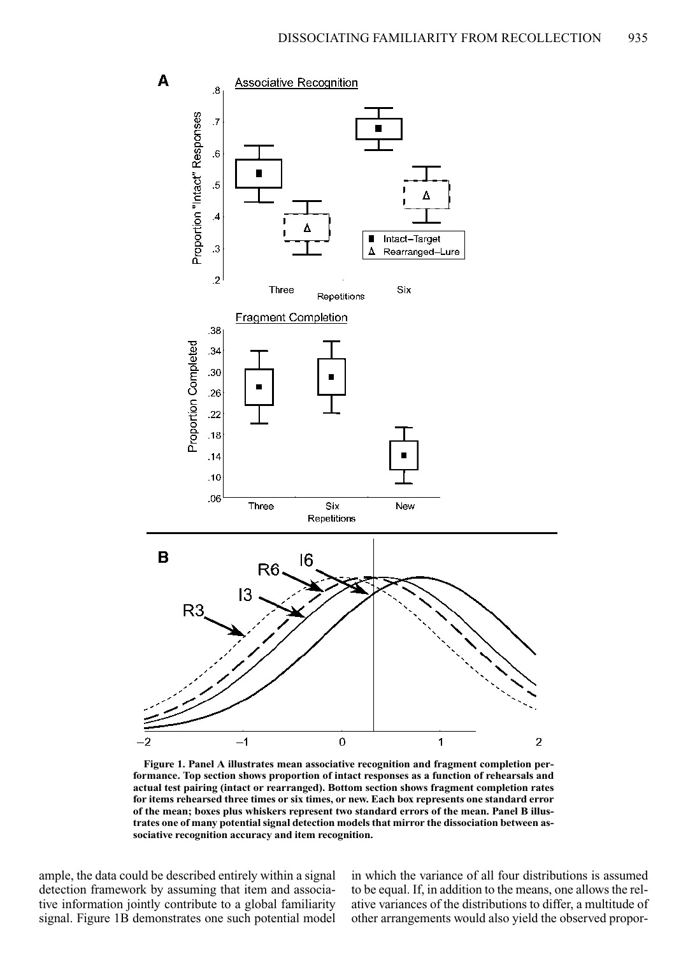

**Figure 1. Panel A illustrates mean associative recognition and fragment completion performance. Top section shows proportion of intact responses as a function of rehearsals and actual test pairing (intact or rearranged). Bottom section shows fragment completion rates for items rehearsed three times or six times, or new. Each box represents one standard error of the mean; boxes plus whiskers represent two standard errors of the mean. Panel B illustrates one of many potential signal detection models that mirror the dissociation between associative recognition accuracy and item recognition.**

ample, the data could be described entirely within a signal detection framework by assuming that item and associative information jointly contribute to a global familiarity signal. Figure 1B demonstrates one such potential model in which the variance of all four distributions is assumed to be equal. If, in addition to the means, one allows the relative variances of the distributions to differ, a multitude of other arrangements would also yield the observed propor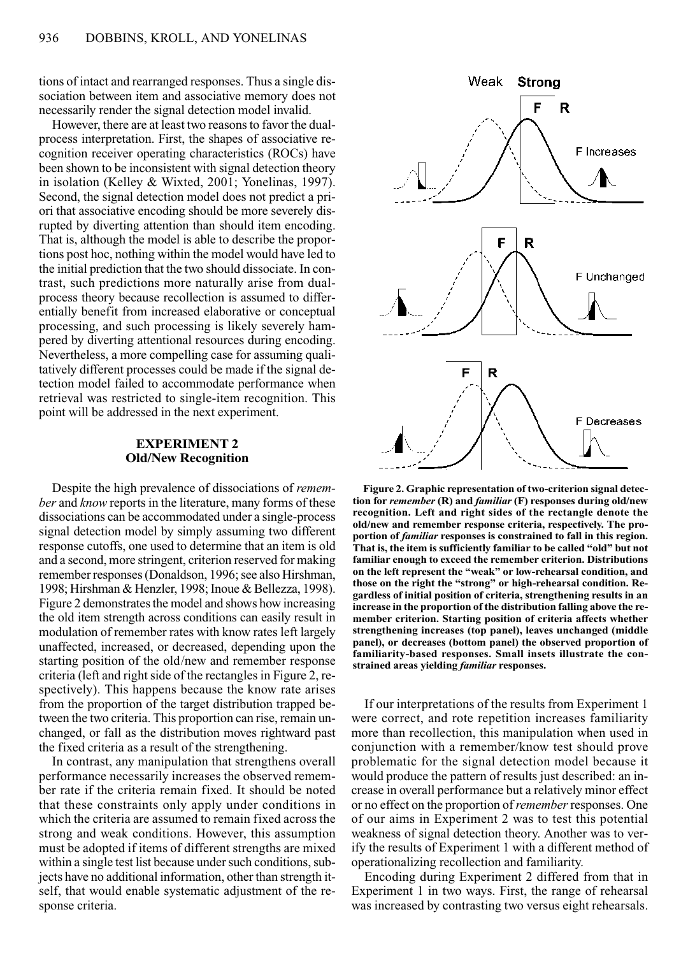tions of intact and rearranged responses. Thus a single dissociation between item and associative memory does not necessarily render the signal detection model invalid.

However, there are at least two reasons to favor the dualprocess interpretation. First, the shapes of associative recognition receiver operating characteristics (ROCs) have been shown to be inconsistent with signal detection theory in isolation (Kelley & Wixted, 2001; Yonelinas, 1997). Second, the signal detection model does not predict a priori that associative encoding should be more severely disrupted by diverting attention than should item encoding. That is, although the model is able to describe the proportions post hoc, nothing within the model would have led to the initial prediction that the two should dissociate. In contrast, such predictions more naturally arise from dualprocess theory because recollection is assumed to differentially benefit from increased elaborative or conceptual processing, and such processing is likely severely hampered by diverting attentional resources during encoding. Nevertheless, a more compelling case for assuming qualitatively different processes could be made if the signal detection model failed to accommodate performance when retrieval was restricted to single-item recognition. This point will be addressed in the next experiment.

# **EXPERIMENT 2 Old/New Recognition**

Despite the high prevalence of dissociations of *remember* and *know* reports in the literature, many forms of these dissociations can be accommodated under a single-process signal detection model by simply assuming two different response cutoffs, one used to determine that an item is old and a second, more stringent, criterion reserved for making remember responses (Donaldson, 1996; see also Hirshman, 1998; Hirshman & Henzler, 1998; Inoue & Bellezza, 1998). Figure 2 demonstrates the model and shows how increasing the old item strength across conditions can easily result in modulation of remember rates with know rates left largely unaffected, increased, or decreased, depending upon the starting position of the old/new and remember response criteria (left and right side of the rectangles in Figure 2, respectively). This happens because the know rate arises from the proportion of the target distribution trapped between the two criteria. This proportion can rise, remain unchanged, or fall as the distribution moves rightward past the fixed criteria as a result of the strengthening.

In contrast, any manipulation that strengthens overall performance necessarily increases the observed remember rate if the criteria remain fixed. It should be noted that these constraints only apply under conditions in which the criteria are assumed to remain fixed across the strong and weak conditions. However, this assumption must be adopted if items of different strengths are mixed within a single test list because under such conditions, subjects have no additional information, other than strength itself, that would enable systematic adjustment of the response criteria.



**Figure 2. Graphic representation of two-criterion signal detection for** *remember* **(R) and** *familiar* **(F) responses during old/new recognition. Left and right sides of the rectangle denote the old/new and remember response criteria, respectively. The proportion of** *familiar* **responses is constrained to fall in this region. That is, the item is sufficiently familiar to be called "old" but not familiar enough to exceed the remember criterion. Distributions on the left represent the "weak" or low-rehearsal condition, and those on the right the "strong" or high-rehearsal condition. Regardless of initial position of criteria, strengthening results in an increase in the proportion of the distribution falling above the remember criterion. Starting position of criteria affects whether strengthening increases (top panel), leaves unchanged (middle panel), or decreases (bottom panel) the observed proportion of familiarity-based responses. Small insets illustrate the constrained areas yielding** *familiar* **responses.**

If our interpretations of the results from Experiment 1 were correct, and rote repetition increases familiarity more than recollection, this manipulation when used in conjunction with a remember/know test should prove problematic for the signal detection model because it would produce the pattern of results just described: an increase in overall performance but a relatively minor effect or no effect on the proportion of *remember*responses. One of our aims in Experiment 2 was to test this potential weakness of signal detection theory. Another was to verify the results of Experiment 1 with a different method of operationalizing recollection and familiarity.

Encoding during Experiment 2 differed from that in Experiment 1 in two ways. First, the range of rehearsal was increased by contrasting two versus eight rehearsals.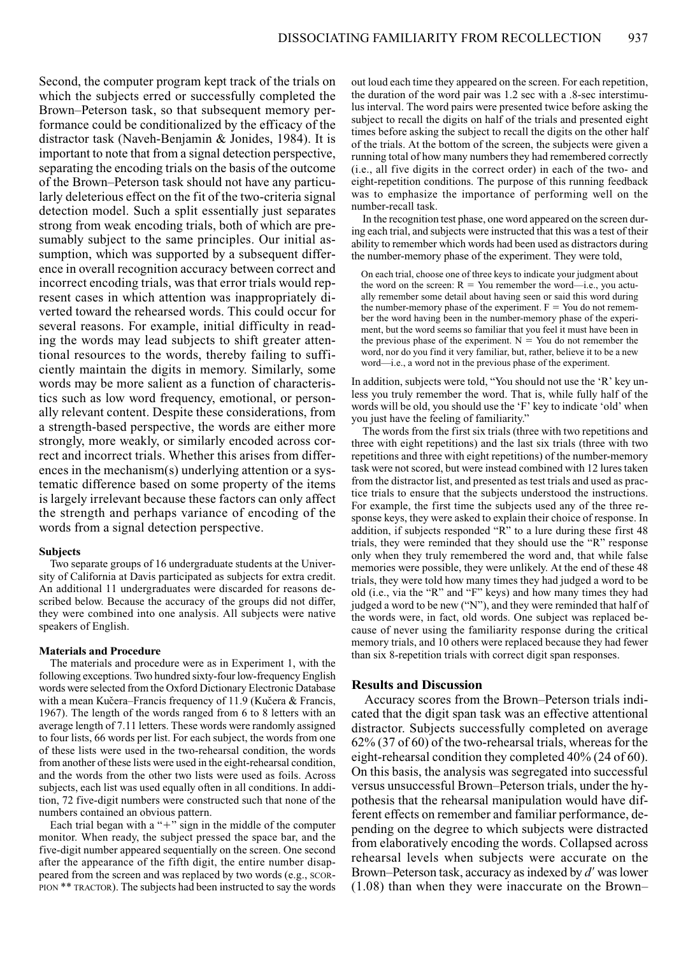Second, the computer program kept track of the trials on which the subjects erred or successfully completed the Brown–Peterson task, so that subsequent memory performance could be conditionalized by the efficacy of the distractor task (Naveh-Benjamin & Jonides, 1984). It is important to note that from a signal detection perspective, separating the encoding trials on the basis of the outcome of the Brown–Peterson task should not have any particularly deleterious effect on the fit of the two-criteria signal detection model. Such a split essentially just separates strong from weak encoding trials, both of which are presumably subject to the same principles. Our initial assumption, which was supported by a subsequent difference in overall recognition accuracy between correct and incorrect encoding trials, was that error trials would represent cases in which attention was inappropriately diverted toward the rehearsed words. This could occur for several reasons. For example, initial difficulty in reading the words may lead subjects to shift greater attentional resources to the words, thereby failing to sufficiently maintain the digits in memory. Similarly, some words may be more salient as a function of characteristics such as low word frequency, emotional, or personally relevant content. Despite these considerations, from a strength-based perspective, the words are either more strongly, more weakly, or similarly encoded across correct and incorrect trials. Whether this arises from differences in the mechanism(s) underlying attention or a systematic difference based on some property of the items is largely irrelevant because these factors can only affect the strength and perhaps variance of encoding of the words from a signal detection perspective.

#### **Subjects**

Two separate groups of 16 undergraduate students at the University of California at Davis participated as subjects for extra credit. An additional 11 undergraduates were discarded for reasons described below. Because the accuracy of the groups did not differ, they were combined into one analysis. All subjects were native speakers of English.

#### **Materials and Procedure**

The materials and procedure were as in Experiment 1, with the following exceptions. Two hundred sixty-four low-frequency English words were selected from the Oxford Dictionary Electronic Database with a mean Kučera–Francis frequency of 11.9 (Kučera & Francis, 1967). The length of the words ranged from 6 to 8 letters with an average length of 7.11 letters. These words were randomly assigned to four lists, 66 words per list. For each subject, the words from one of these lists were used in the two-rehearsal condition, the words from another of these lists were used in the eight-rehearsal condition, and the words from the other two lists were used as foils. Across subjects, each list was used equally often in all conditions. In addition, 72 five-digit numbers were constructed such that none of the numbers contained an obvious pattern.

Each trial began with a " $+$ " sign in the middle of the computer monitor. When ready, the subject pressed the space bar, and the five-digit number appeared sequentially on the screen. One second after the appearance of the fifth digit, the entire number disappeared from the screen and was replaced by two words (e.g., SCOR-PION \*\* TRACTOR). The subjects had been instructed to say the words out loud each time they appeared on the screen. For each repetition, the duration of the word pair was 1.2 sec with a .8-sec interstimulus interval. The word pairs were presented twice before asking the subject to recall the digits on half of the trials and presented eight times before asking the subject to recall the digits on the other half of the trials. At the bottom of the screen, the subjects were given a running total of how many numbers they had remembered correctly (i.e., all five digits in the correct order) in each of the two- and eight-repetition conditions. The purpose of this running feedback was to emphasize the importance of performing well on the number-recall task.

In the recognition test phase, one word appeared on the screen during each trial, and subjects were instructed that this was a test of their ability to remember which words had been used as distractors during the number-memory phase of the experiment. They were told,

On each trial, choose one of three keys to indicate your judgment about the word on the screen:  $R = You$  remember the word—i.e., you actually remember some detail about having seen or said this word during the number-memory phase of the experiment.  $F = You$  do not remember the word having been in the number-memory phase of the experiment, but the word seems so familiar that you feel it must have been in the previous phase of the experiment.  $N = You$  do not remember the word, nor do you find it very familiar, but, rather, believe it to be a new word—i.e., a word not in the previous phase of the experiment.

In addition, subjects were told, "You should not use the 'R' key unless you truly remember the word. That is, while fully half of the words will be old, you should use the 'F' key to indicate 'old' when you just have the feeling of familiarity."

The words from the first six trials (three with two repetitions and three with eight repetitions) and the last six trials (three with two repetitions and three with eight repetitions) of the number-memory task were not scored, but were instead combined with 12 lures taken from the distractor list, and presented as test trials and used as practice trials to ensure that the subjects understood the instructions. For example, the first time the subjects used any of the three response keys, they were asked to explain their choice of response. In addition, if subjects responded "R" to a lure during these first 48 trials, they were reminded that they should use the "R" response only when they truly remembered the word and, that while false memories were possible, they were unlikely. At the end of these 48 trials, they were told how many times they had judged a word to be old (i.e., via the "R" and "F" keys) and how many times they had judged a word to be new ("N"), and they were reminded that half of the words were, in fact, old words. One subject was replaced because of never using the familiarity response during the critical memory trials, and 10 others were replaced because they had fewer than six 8-repetition trials with correct digit span responses.

## **Results and Discussion**

Accuracy scores from the Brown–Peterson trials indicated that the digit span task was an effective attentional distractor. Subjects successfully completed on average 62% (37 of 60) of the two-rehearsal trials, whereas for the eight-rehearsal condition they completed 40% (24 of 60). On this basis, the analysis was segregated into successful versus unsuccessful Brown–Peterson trials, under the hypothesis that the rehearsal manipulation would have different effects on remember and familiar performance, depending on the degree to which subjects were distracted from elaboratively encoding the words. Collapsed across rehearsal levels when subjects were accurate on the Brown–Peterson task, accuracy as indexed by *d*′ was lower (1.08) than when they were inaccurate on the Brown–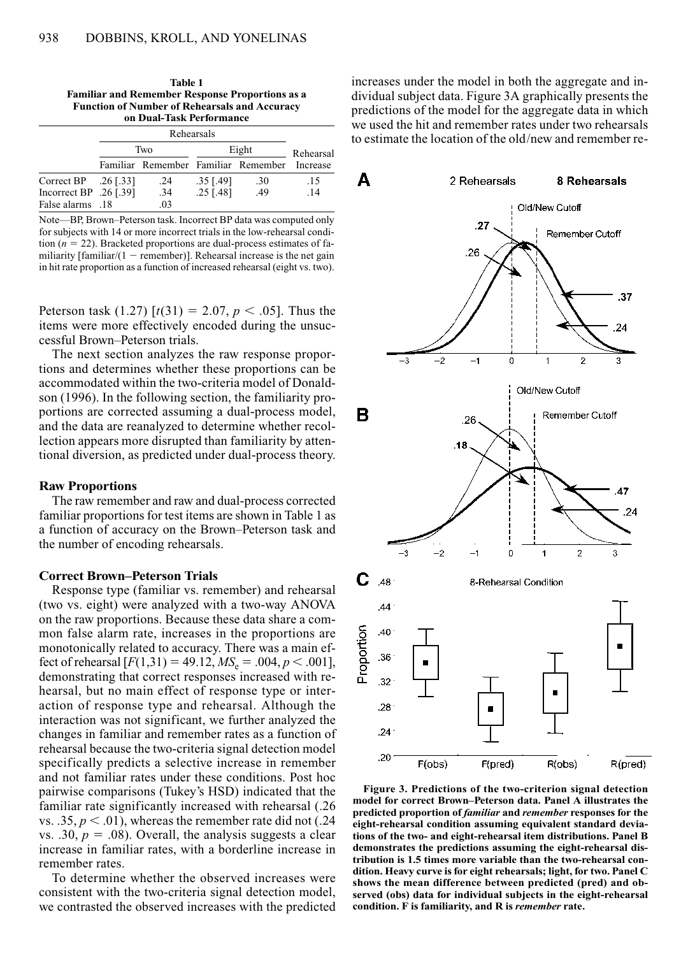| ганный ана кеністюсі кезронястторогионя аз а<br><b>Function of Number of Rehearsals and Accuracy</b><br>on Dual-Task Performance |            |                                     |             |     |           |
|----------------------------------------------------------------------------------------------------------------------------------|------------|-------------------------------------|-------------|-----|-----------|
|                                                                                                                                  | Rehearsals |                                     |             |     |           |
|                                                                                                                                  | Two        |                                     | Eight       |     | Rehearsal |
|                                                                                                                                  |            | Familiar Remember Familiar Remember |             |     | Increase  |
| Correct BP $.26$ [.33]                                                                                                           |            | .24                                 | $.35$ [.49] | .30 | .15       |
| Incorrect BP .26 [.39]                                                                                                           |            | .34                                 | $.25$ [.48] | .49 | .14       |
| False alarms .18                                                                                                                 |            | .03                                 |             |     |           |

**Table 1 Familiar and Remember Response Proportions as a**

Note—BP, Brown–Peterson task. Incorrect BP data was computed only for subjects with 14 or more incorrect trials in the low-rehearsal condition ( $n = 22$ ). Bracketed proportions are dual-process estimates of familiarity  $[family]$   $[-1]$  remember)]. Rehearsal increase is the net gain in hit rate proportion as a function of increased rehearsal (eight vs. two).

Peterson task  $(1.27)$   $[t(31) = 2.07, p < .05]$ . Thus the items were more effectively encoded during the unsuccessful Brown–Peterson trials.

The next section analyzes the raw response proportions and determines whether these proportions can be accommodated within the two-criteria model of Donaldson (1996). In the following section, the familiarity proportions are corrected assuming a dual-process model, and the data are reanalyzed to determine whether recollection appears more disrupted than familiarity by attentional diversion, as predicted under dual-process theory.

## **Raw Proportions**

The raw remember and raw and dual-process corrected familiar proportions for test items are shown in Table 1 as a function of accuracy on the Brown–Peterson task and the number of encoding rehearsals.

## **Correct Brown–Peterson Trials**

Response type (familiar vs. remember) and rehearsal (two vs. eight) were analyzed with a two-way ANOVA on the raw proportions. Because these data share a common false alarm rate, increases in the proportions are monotonically related to accuracy. There was a main effect of rehearsal  $[F(1,31) = 49.12, MS_e = .004, p < .001]$ , demonstrating that correct responses increased with rehearsal, but no main effect of response type or interaction of response type and rehearsal. Although the interaction was not significant, we further analyzed the changes in familiar and remember rates as a function of rehearsal because the two-criteria signal detection model specifically predicts a selective increase in remember and not familiar rates under these conditions. Post hoc pairwise comparisons (Tukey's HSD) indicated that the familiar rate significantly increased with rehearsal (.26 vs.  $.35, p < .01$ ), whereas the remember rate did not (.24) vs. .30,  $p = .08$ ). Overall, the analysis suggests a clear increase in familiar rates, with a borderline increase in remember rates.

To determine whether the observed increases were consistent with the two-criteria signal detection model, we contrasted the observed increases with the predicted increases under the model in both the aggregate and individual subject data. Figure 3A graphically presents the predictions of the model for the aggregate data in which we used the hit and remember rates under two rehearsals to estimate the location of the old/new and remember re-



**Figure 3. Predictions of the two-criterion signal detection model for correct Brown–Peterson data. Panel A illustrates the predicted proportion of** *familiar* **and** *remember* **responses for the eight-rehearsal condition assuming equivalent standard deviations of the two- and eight-rehearsal item distributions. Panel B demonstrates the predictions assuming the eight-rehearsal distribution is 1.5 times more variable than the two-rehearsal condition. Heavy curve is for eight rehearsals; light, for two. Panel C shows the mean difference between predicted (pred) and observed (obs) data for individual subjects in the eight-rehearsal condition. F is familiarity, and R is** *remember* **rate.**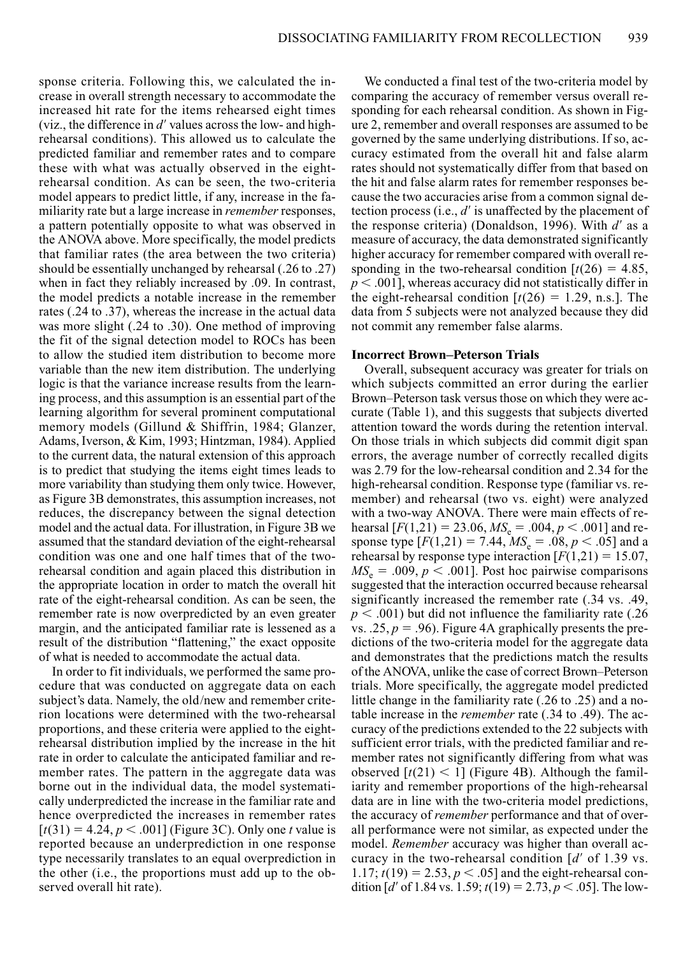sponse criteria. Following this, we calculated the increase in overall strength necessary to accommodate the increased hit rate for the items rehearsed eight times (viz., the difference in *d*′ values across the low- and highrehearsal conditions). This allowed us to calculate the predicted familiar and remember rates and to compare these with what was actually observed in the eightrehearsal condition. As can be seen, the two-criteria model appears to predict little, if any, increase in the familiarity rate but a large increase in *remember* responses, a pattern potentially opposite to what was observed in the ANOVA above. More specifically, the model predicts that familiar rates (the area between the two criteria) should be essentially unchanged by rehearsal (.26 to .27) when in fact they reliably increased by .09. In contrast, the model predicts a notable increase in the remember rates (.24 to .37), whereas the increase in the actual data was more slight (.24 to .30). One method of improving the fit of the signal detection model to ROCs has been to allow the studied item distribution to become more variable than the new item distribution. The underlying logic is that the variance increase results from the learning process, and this assumption is an essential part of the learning algorithm for several prominent computational memory models (Gillund & Shiffrin, 1984; Glanzer, Adams, Iverson, & Kim, 1993; Hintzman, 1984). Applied to the current data, the natural extension of this approach is to predict that studying the items eight times leads to more variability than studying them only twice. However, as Figure 3B demonstrates, this assumption increases, not reduces, the discrepancy between the signal detection model and the actual data. For illustration, in Figure 3B we assumed that the standard deviation of the eight-rehearsal condition was one and one half times that of the tworehearsal condition and again placed this distribution in the appropriate location in order to match the overall hit rate of the eight-rehearsal condition. As can be seen, the remember rate is now overpredicted by an even greater margin, and the anticipated familiar rate is lessened as a result of the distribution "flattening," the exact opposite of what is needed to accommodate the actual data.

In order to fit individuals, we performed the same procedure that was conducted on aggregate data on each subject's data. Namely, the old/new and remember criterion locations were determined with the two-rehearsal proportions, and these criteria were applied to the eightrehearsal distribution implied by the increase in the hit rate in order to calculate the anticipated familiar and remember rates. The pattern in the aggregate data was borne out in the individual data, the model systematically underpredicted the increase in the familiar rate and hence overpredicted the increases in remember rates  $[t(31) = 4.24, p < .001]$  (Figure 3C). Only one *t* value is reported because an underprediction in one response type necessarily translates to an equal overprediction in the other (i.e., the proportions must add up to the observed overall hit rate).

We conducted a final test of the two-criteria model by comparing the accuracy of remember versus overall responding for each rehearsal condition. As shown in Figure 2, remember and overall responses are assumed to be governed by the same underlying distributions. If so, accuracy estimated from the overall hit and false alarm rates should not systematically differ from that based on the hit and false alarm rates for remember responses because the two accuracies arise from a common signal detection process (i.e., *d*′ is unaffected by the placement of the response criteria) (Donaldson, 1996). With *d*′ as a measure of accuracy, the data demonstrated significantly higher accuracy for remember compared with overall responding in the two-rehearsal condition  $[t(26) = 4.85]$ ,  $p < .001$ ], whereas accuracy did not statistically differ in the eight-rehearsal condition  $[t(26) = 1.29, n.s.]$ . The data from 5 subjects were not analyzed because they did not commit any remember false alarms.

# **Incorrect Brown–Peterson Trials**

Overall, subsequent accuracy was greater for trials on which subjects committed an error during the earlier Brown–Peterson task versus those on which they were accurate (Table 1), and this suggests that subjects diverted attention toward the words during the retention interval. On those trials in which subjects did commit digit span errors, the average number of correctly recalled digits was 2.79 for the low-rehearsal condition and 2.34 for the high-rehearsal condition. Response type (familiar vs. remember) and rehearsal (two vs. eight) were analyzed with a two-way ANOVA. There were main effects of rehearsal  $[F(1,21) = 23.06, MS_e = .004, p < .001]$  and response type  $[F(1,21) = 7.44, MS_e = .08, p < .05]$  and a rehearsal by response type interaction  $[F(1,21) = 15.07]$ ,  $MS_e = .009$ ,  $p < .001$ ]. Post hoc pairwise comparisons suggested that the interaction occurred because rehearsal significantly increased the remember rate (.34 vs. .49,  $p < .001$ ) but did not influence the familiarity rate (.26) vs.  $.25, p = .96$ ). Figure 4A graphically presents the predictions of the two-criteria model for the aggregate data and demonstrates that the predictions match the results of the ANOVA, unlike the case of correct Brown–Peterson trials. More specifically, the aggregate model predicted little change in the familiarity rate (.26 to .25) and a notable increase in the *remember* rate (.34 to .49). The accuracy of the predictions extended to the 22 subjects with sufficient error trials, with the predicted familiar and remember rates not significantly differing from what was observed  $[t(21) < 1]$  (Figure 4B). Although the familiarity and remember proportions of the high-rehearsal data are in line with the two-criteria model predictions, the accuracy of *remember* performance and that of overall performance were not similar, as expected under the model. *Remember* accuracy was higher than overall accuracy in the two-rehearsal condition [*d*′ of 1.39 vs. 1.17;  $t(19) = 2.53$ ,  $p < .05$ ] and the eight-rehearsal condition  $[d'$  of 1.84 vs. 1.59;  $t(19) = 2.73, p < .05$ ]. The low-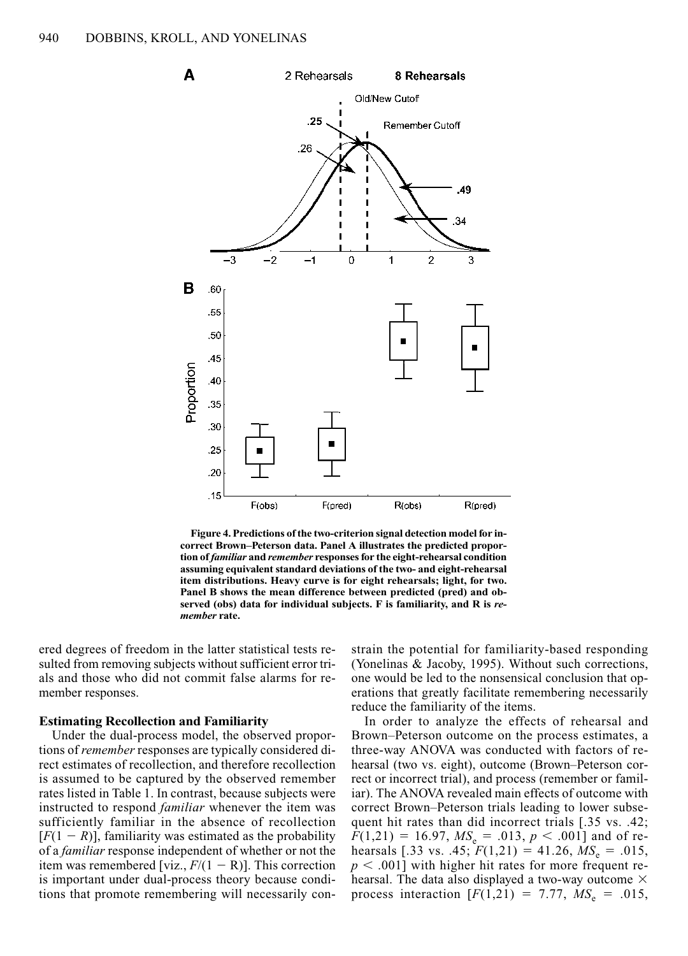

**Figure 4. Predictions of the two-criterion signal detection model for incorrect Brown–Peterson data. Panel A illustrates the predicted proportion of** *familiar* **and** *remember* **responses for the eight-rehearsal condition assuming equivalent standard deviations of the two- and eight-rehearsal item distributions. Heavy curve is for eight rehearsals; light, for two. Panel B shows the mean difference between predicted (pred) and observed (obs) data for individual subjects. F is familiarity, and R is** *remember* **rate.**

ered degrees of freedom in the latter statistical tests resulted from removing subjects without sufficient error trials and those who did not commit false alarms for remember responses.

## **Estimating Recollection and Familiarity**

Under the dual-process model, the observed proportions of *remember* responses are typically considered direct estimates of recollection, and therefore recollection is assumed to be captured by the observed remember rates listed in Table 1. In contrast, because subjects were instructed to respond *familiar* whenever the item was sufficiently familiar in the absence of recollection  $[F(1 - R)]$ , familiarity was estimated as the probability of a *familiar* response independent of whether or not the item was remembered [viz.,  $F/(1 - R)$ ]. This correction is important under dual-process theory because conditions that promote remembering will necessarily constrain the potential for familiarity-based responding (Yonelinas & Jacoby, 1995). Without such corrections, one would be led to the nonsensical conclusion that operations that greatly facilitate remembering necessarily reduce the familiarity of the items.

In order to analyze the effects of rehearsal and Brown–Peterson outcome on the process estimates, a three-way ANOVA was conducted with factors of rehearsal (two vs. eight), outcome (Brown–Peterson correct or incorrect trial), and process (remember or familiar). The ANOVA revealed main effects of outcome with correct Brown–Peterson trials leading to lower subsequent hit rates than did incorrect trials [.35 vs. .42;  $F(1,21) = 16.97$ ,  $MS_e = .013$ ,  $p < .001$ ] and of rehearsals [.33 vs. .45;  $F(1,21) = 41.26$ ,  $MS_e = .015$ ,  $p < .001$ ] with higher hit rates for more frequent rehearsal. The data also displayed a two-way outcome  $\times$ process interaction  $[F(1,21) = 7.77, MS_e = .015,$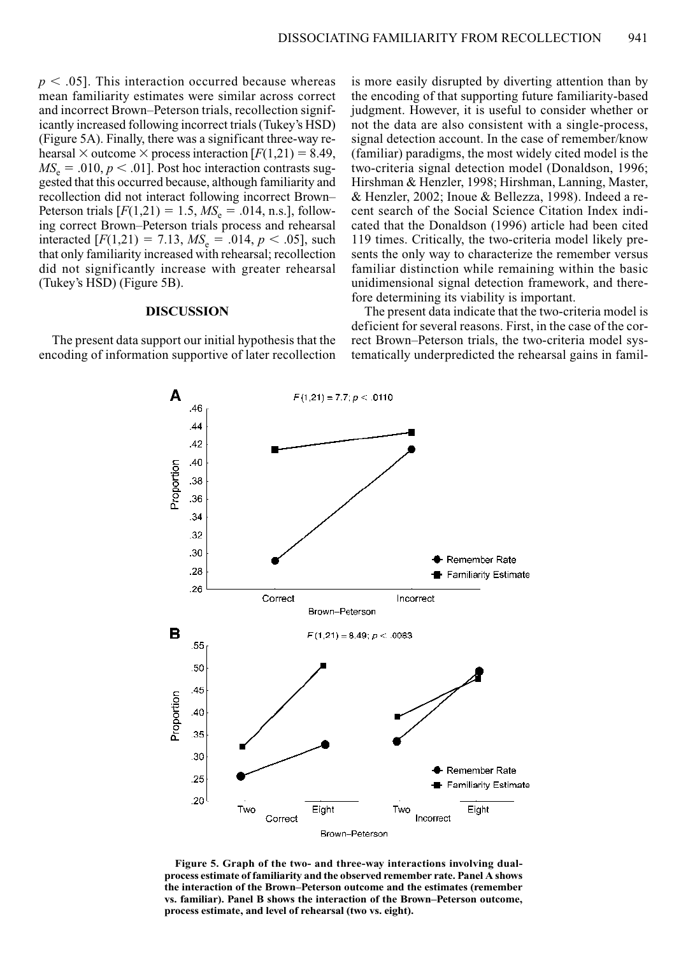$p < .05$ ]. This interaction occurred because whereas mean familiarity estimates were similar across correct and incorrect Brown–Peterson trials, recollection significantly increased following incorrect trials (Tukey's HSD) (Figure 5A). Finally, there was a significant three-way rehearsal  $\times$  outcome  $\times$  process interaction [*F*(1,21) = 8.49,  $MS_e = .010, p < .01$ . Post hoc interaction contrasts suggested that this occurred because, although familiarity and recollection did not interact following incorrect Brown– Peterson trials  $[F(1,21) = 1.5, MS_e = .014, n.s.]$ , following correct Brown–Peterson trials process and rehearsal interacted  $[F(1,21) = 7.13, MS_e = .014, p < .05]$ , such that only familiarity increased with rehearsal; recollection did not significantly increase with greater rehearsal (Tukey's HSD) (Figure 5B).

## **DISCUSSION**

The present data support our initial hypothesis that the encoding of information supportive of later recollection is more easily disrupted by diverting attention than by the encoding of that supporting future familiarity-based judgment. However, it is useful to consider whether or not the data are also consistent with a single-process, signal detection account. In the case of remember/know (familiar) paradigms, the most widely cited model is the two-criteria signal detection model (Donaldson, 1996; Hirshman & Henzler, 1998; Hirshman, Lanning, Master, & Henzler, 2002; Inoue & Bellezza, 1998). Indeed a recent search of the Social Science Citation Index indicated that the Donaldson (1996) article had been cited 119 times. Critically, the two-criteria model likely presents the only way to characterize the remember versus familiar distinction while remaining within the basic unidimensional signal detection framework, and therefore determining its viability is important.

The present data indicate that the two-criteria model is deficient for several reasons. First, in the case of the correct Brown–Peterson trials, the two-criteria model systematically underpredicted the rehearsal gains in famil-



**Figure 5. Graph of the two- and three-way interactions involving dualprocess estimate of familiarity and the observed remember rate. Panel A shows the interaction of the Brown–Peterson outcome and the estimates (remember vs. familiar). Panel B shows the interaction of the Brown–Peterson outcome, process estimate, and level of rehearsal (two vs. eight).**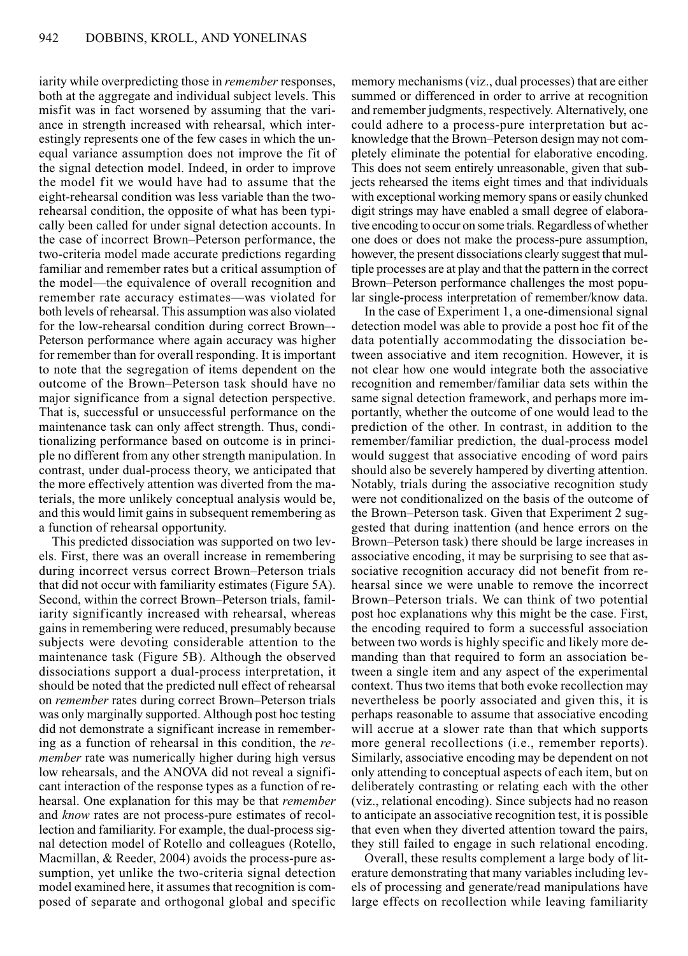iarity while overpredicting those in *remember* responses, both at the aggregate and individual subject levels. This misfit was in fact worsened by assuming that the variance in strength increased with rehearsal, which interestingly represents one of the few cases in which the unequal variance assumption does not improve the fit of the signal detection model. Indeed, in order to improve the model fit we would have had to assume that the eight-rehearsal condition was less variable than the tworehearsal condition, the opposite of what has been typically been called for under signal detection accounts. In the case of incorrect Brown–Peterson performance, the two-criteria model made accurate predictions regarding familiar and remember rates but a critical assumption of the model—the equivalence of overall recognition and remember rate accuracy estimates—was violated for both levels of rehearsal. This assumption was also violated for the low-rehearsal condition during correct Brown–- Peterson performance where again accuracy was higher for remember than for overall responding. It is important to note that the segregation of items dependent on the outcome of the Brown–Peterson task should have no major significance from a signal detection perspective. That is, successful or unsuccessful performance on the maintenance task can only affect strength. Thus, conditionalizing performance based on outcome is in principle no different from any other strength manipulation. In contrast, under dual-process theory, we anticipated that the more effectively attention was diverted from the materials, the more unlikely conceptual analysis would be, and this would limit gains in subsequent remembering as a function of rehearsal opportunity.

This predicted dissociation was supported on two levels. First, there was an overall increase in remembering during incorrect versus correct Brown–Peterson trials that did not occur with familiarity estimates (Figure 5A). Second, within the correct Brown–Peterson trials, familiarity significantly increased with rehearsal, whereas gains in remembering were reduced, presumably because subjects were devoting considerable attention to the maintenance task (Figure 5B). Although the observed dissociations support a dual-process interpretation, it should be noted that the predicted null effect of rehearsal on *remember* rates during correct Brown–Peterson trials was only marginally supported. Although post hoc testing did not demonstrate a significant increase in remembering as a function of rehearsal in this condition, the *remember* rate was numerically higher during high versus low rehearsals, and the ANOVA did not reveal a significant interaction of the response types as a function of rehearsal. One explanation for this may be that *remember* and *know* rates are not process-pure estimates of recollection and familiarity. For example, the dual-process signal detection model of Rotello and colleagues (Rotello, Macmillan, & Reeder, 2004) avoids the process-pure assumption, yet unlike the two-criteria signal detection model examined here, it assumes that recognition is composed of separate and orthogonal global and specific

memory mechanisms (viz., dual processes) that are either summed or differenced in order to arrive at recognition and remember judgments, respectively. Alternatively, one could adhere to a process-pure interpretation but acknowledge that the Brown–Peterson design may not completely eliminate the potential for elaborative encoding. This does not seem entirely unreasonable, given that subjects rehearsed the items eight times and that individuals with exceptional working memory spans or easily chunked digit strings may have enabled a small degree of elaborative encoding to occur on some trials. Regardless of whether one does or does not make the process-pure assumption, however, the present dissociations clearly suggest that multiple processes are at play and that the pattern in the correct Brown–Peterson performance challenges the most popular single-process interpretation of remember/know data.

In the case of Experiment 1, a one-dimensional signal detection model was able to provide a post hoc fit of the data potentially accommodating the dissociation between associative and item recognition. However, it is not clear how one would integrate both the associative recognition and remember/familiar data sets within the same signal detection framework, and perhaps more importantly, whether the outcome of one would lead to the prediction of the other. In contrast, in addition to the remember/familiar prediction, the dual-process model would suggest that associative encoding of word pairs should also be severely hampered by diverting attention. Notably, trials during the associative recognition study were not conditionalized on the basis of the outcome of the Brown–Peterson task. Given that Experiment 2 suggested that during inattention (and hence errors on the Brown–Peterson task) there should be large increases in associative encoding, it may be surprising to see that associative recognition accuracy did not benefit from rehearsal since we were unable to remove the incorrect Brown–Peterson trials. We can think of two potential post hoc explanations why this might be the case. First, the encoding required to form a successful association between two words is highly specific and likely more demanding than that required to form an association between a single item and any aspect of the experimental context. Thus two items that both evoke recollection may nevertheless be poorly associated and given this, it is perhaps reasonable to assume that associative encoding will accrue at a slower rate than that which supports more general recollections (i.e., remember reports). Similarly, associative encoding may be dependent on not only attending to conceptual aspects of each item, but on deliberately contrasting or relating each with the other (viz., relational encoding). Since subjects had no reason to anticipate an associative recognition test, it is possible that even when they diverted attention toward the pairs, they still failed to engage in such relational encoding.

Overall, these results complement a large body of literature demonstrating that many variables including levels of processing and generate/read manipulations have large effects on recollection while leaving familiarity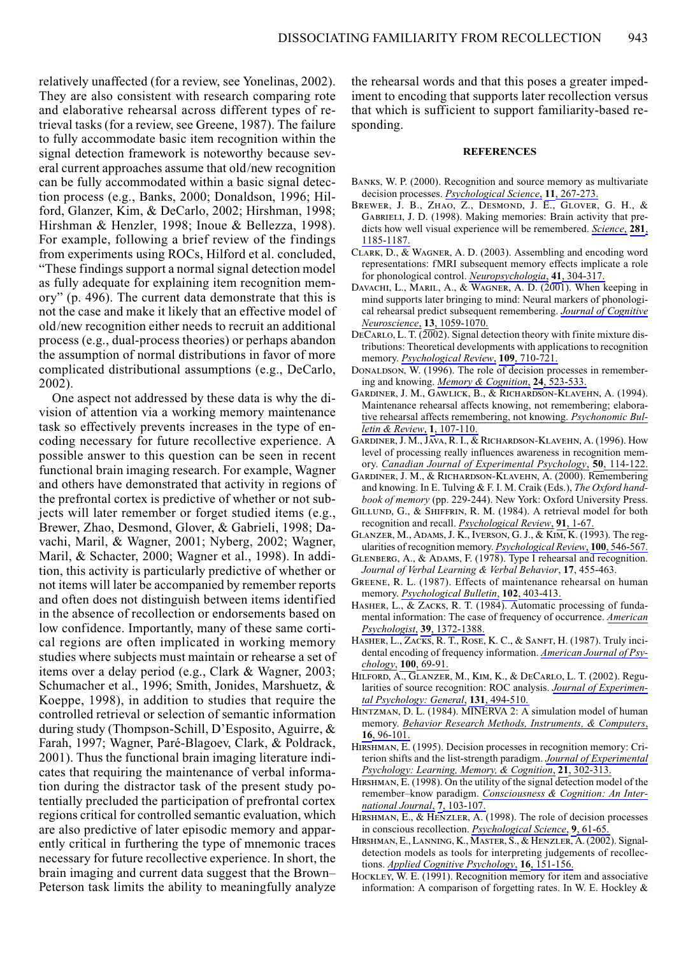relatively unaffected (for a review, see Yonelinas, 2002). They are also consistent with research comparing rote and elaborative rehearsal across different types of retrieval tasks (for a review, see Greene, 1987). The failure to fully accommodate basic item recognition within the signal detection framework is noteworthy because several current approaches assume that old/new recognition can be fully accommodated within a basic signal detection process (e.g., Banks, 2000; Donaldson, 1996; Hilford, Glanzer, Kim, & DeCarlo, 2002; Hirshman, 1998; Hirshman & Henzler, 1998; Inoue & Bellezza, 1998). For example, following a brief review of the findings from experiments using ROCs, Hilford et al. concluded, "These findings support a normal signal detection model as fully adequate for explaining item recognition memory" (p. 496). The current data demonstrate that this is not the case and make it likely that an effective model of old/new recognition either needs to recruit an additional process (e.g., dual-process theories) or perhaps abandon the assumption of normal distributions in favor of more complicated distributional assumptions (e.g., DeCarlo, 2002).

One aspect not addressed by these data is why the division of attention via a working memory maintenance task so effectively prevents increases in the type of encoding necessary for future recollective experience. A possible answer to this question can be seen in recent functional brain imaging research. For example, Wagner and others have demonstrated that activity in regions of the prefrontal cortex is predictive of whether or not subjects will later remember or forget studied items (e.g., Brewer, Zhao, Desmond, Glover, & Gabrieli, 1998; Davachi, Maril, & Wagner, 2001; Nyberg, 2002; Wagner, Maril, & Schacter, 2000; Wagner et al., 1998). In addition, this activity is particularly predictive of whether or not items will later be accompanied by remember reports and often does not distinguish between items identified in the absence of recollection or endorsements based on low confidence. Importantly, many of these same cortical regions are often implicated in working memory studies where subjects must maintain or rehearse a set of items over a delay period (e.g., Clark & Wagner, 2003; Schumacher et al., 1996; Smith, Jonides, Marshuetz, & Koeppe, 1998), in addition to studies that require the controlled retrieval or selection of semantic information during study (Thompson-Schill, D'Esposito, Aguirre, & Farah, 1997; Wagner, Paré-Blagoev, Clark, & Poldrack, 2001). Thus the functional brain imaging literature indicates that requiring the maintenance of verbal information during the distractor task of the present study potentially precluded the participation of prefrontal cortex regions critical for controlled semantic evaluation, which are also predictive of later episodic memory and apparently critical in furthering the type of mnemonic traces necessary for future recollective experience. In short, the brain imaging and current data suggest that the Brown– Peterson task limits the ability to meaningfully analyze the rehearsal words and that this poses a greater impediment to encoding that supports later recollection versus that which is sufficient to support familiarity-based responding.

#### **REFERENCES**

- Banks, W. P. (2000). Recognition and source memory as multivariate decision processes. *Psychological Science*, **11**, 267-273.
- Brewer, J. B., Zhao, Z., Desmond, J. E., Glover, G. H., & GABRIELI, J. D. (1998). Making memories: Brain activity that predicts how well visual experience will be remembered. *Science*, **281**, 1185-1187.
- Clark, D., & Wagner, A. D. (2003). Assembling and encoding word representations: fMRI subsequent memory effects implicate a role for phonological control. *Neuropsychologia*, **41**, 304-317.
- DAVACHI, L., MARIL, A., & WAGNER, A. D.  $(2001)$ . When keeping in mind supports later bringing to mind: Neural markers of phonological rehearsal predict subsequent remembering. *Journal of Cognitive Neuroscience*, **13**, 1059-1070.
- DECARLO, L. T.  $(2002)$ . Signal detection theory with finite mixture distributions: Theoretical developments with applications to recognition memory. *Psychological Review*, **109**, 710-721.
- DONALDSON, W. (1996). The role of decision processes in remembering and knowing. *Memory & Cognition*, **24**, 523-533.
- Gardiner, J. M., Gawlick, B., & Richardson-Klavehn, A. (1994). Maintenance rehearsal affects knowing, not remembering; elaborative rehearsal affects remembering, not knowing. *Psychonomic Bulletin & Review*, **1**, 107-110.
- Gardiner, J. M., Java, R. I., & Richardson-Klavehn, A. (1996). How level of processing really influences awareness in recognition memory. *Canadian Journal of Experimental Psychology*, **50**, 114-122.
- Gardiner, J. M., & Richardson-Klavehn, A. (2000). Remembering and knowing. In E. Tulving & F. I. M. Craik (Eds.), *The Oxford handbook of memory* (pp. 229-244). New York: Oxford University Press.
- Gillund, G., & Shiffrin, R. M. (1984). A retrieval model for both recognition and recall. *Psychological Review*, **91**, 1-67.
- Glanzer, M., Adams, J. K., Iverson, G. J., & Kim, K. (1993). The regularities of recognition memory. *Psychological Review*, **100**, 546-567.
- GLENBERG, A., & ADAMS, F. (1978). Type I rehearsal and recognition. *Journal of Verbal Learning & Verbal Behavior*, **17**, 455-463.
- Greene, R. L. (1987). Effects of maintenance rehearsal on human memory. *Psychological Bulletin*, **102**, 403-413.
- HASHER, L., & ZACKS, R. T. (1984). Automatic processing of fundamental information: The case of frequency of occurrence. *American Psychologist*, **39**, 1372-1388.
- HASHER, L., ZACKS, R. T., ROSE, K. C., & SANFT, H. (1987). Truly incidental encoding of frequency information. *American Journal of Psychology*, **100**, 69-91.
- Hilford, A., Glanzer, M., Kim, K., & DeCarlo, L. T. (2002). Regularities of source recognition: ROC analysis. *Journal of Experimental Psychology: General*, **131**, 494-510.
- HINTZMAN, D. L. (1984). MINERVA 2: A simulation model of human memory. *Behavior Research Methods, Instruments, & Computers*, **16**, 96-101.
- Hirshman, E. (1995). Decision processes in recognition memory: Criterion shifts and the list-strength paradigm. *Journal of Experimental Psychology: Learning, Memory, & Cognition*, **21**, 302-313.
- HIRSHMAN, E. (1998). On the utility of the signal detection model of the remember–know paradigm. *Consciousness & Cognition: An International Journal*, **7**, 103-107.
- HIRSHMAN, E., & HENZLER, A. (1998). The role of decision processes in conscious recollection. *Psychological Science*, **9**, 61-65.
- Hirshman, E., Lanning, K., Master, S., & Henzler, A. (2002). Signaldetection models as tools for interpreting judgements of recollections. *Applied Cognitive Psychology*, **16**, 151-156.
- Hockley, W. E. (1991). Recognition memory for item and associative information: A comparison of forgetting rates. In W. E. Hockley &